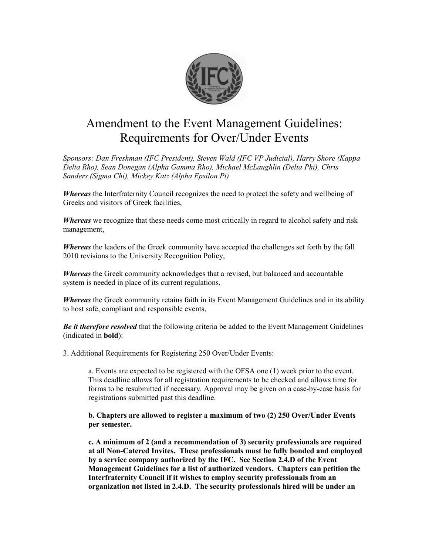

## Amendment to the Event Management Guidelines: Requirements for Over/Under Events

*Sponsors: Dan Freshman (IFC President), Steven Wald (IFC VP Judicial), Harry Shore (Kappa Delta Rho), Sean Donegan (Alpha Gamma Rho), Michael McLaughlin (Delta Phi), Chris Sanders (Sigma Chi), Mickey Katz (Alpha Epsilon Pi)*

*Whereas* the Interfraternity Council recognizes the need to protect the safety and wellbeing of Greeks and visitors of Greek facilities,

*Whereas* we recognize that these needs come most critically in regard to alcohol safety and risk management,

*Whereas* the leaders of the Greek community have accepted the challenges set forth by the fall 2010 revisions to the University Recognition Policy,

*Whereas* the Greek community acknowledges that a revised, but balanced and accountable system is needed in place of its current regulations,

*Whereas* the Greek community retains faith in its Event Management Guidelines and in its ability to host safe, compliant and responsible events,

*Be it therefore resolved* that the following criteria be added to the Event Management Guidelines (indicated in **bold**):

3. Additional Requirements for Registering 250 Over/Under Events:

a. Events are expected to be registered with the OFSA one (1) week prior to the event. This deadline allows for all registration requirements to be checked and allows time for forms to be resubmitted if necessary. Approval may be given on a case-by-case basis for registrations submitted past this deadline.

**b. Chapters are allowed to register a maximum of two (2) 250 Over/Under Events per semester.**

**c. A minimum of 2 (and a recommendation of 3) security professionals are required at all Non-Catered Invites. These professionals must be fully bonded and employed by a service company authorized by the IFC. See Section 2.4.D of the Event Management Guidelines for a list of authorized vendors. Chapters can petition the Interfraternity Council if it wishes to employ security professionals from an organization not listed in 2.4.D. The security professionals hired will be under an**